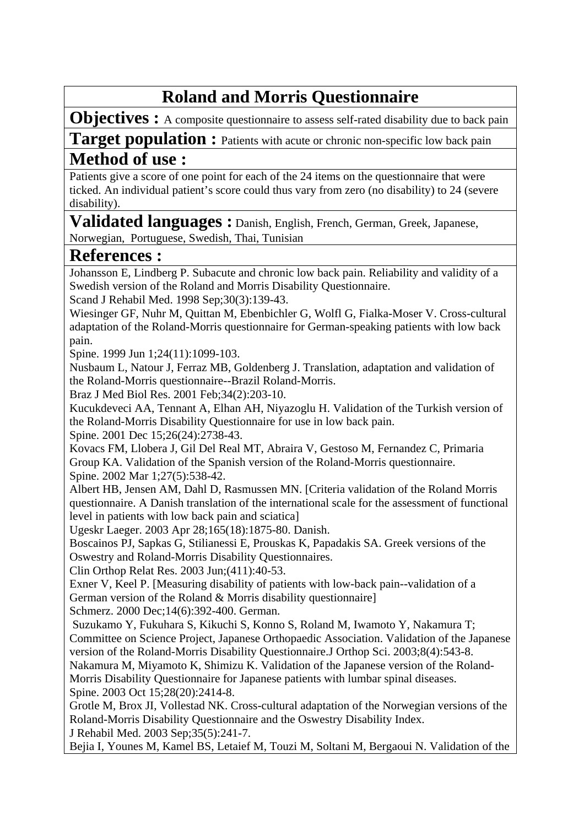## **Roland and Morris Questionnaire**

**Objectives :** A composite questionnaire to assess self-rated disability due to back pain

**Target population :** Patients with acute or chronic non-specific low back pain **Method of use :** 

Patients give a score of one point for each of the 24 items on the questionnaire that were ticked. An individual patient's score could thus vary from zero (no disability) to 24 (severe disability).

**Validated languages :** Danish, English, French, German, Greek, Japanese, Norwegian, Portuguese, Swedish, Thai, Tunisian

## **References :**

Johansson E, Lindberg P. Subacute and chronic low back pain. Reliability and validity of a Swedish version of the Roland and Morris Disability Questionnaire.

Scand J Rehabil Med. 1998 Sep;30(3):139-43.

[Wiesinger GF, Nuhr M, Quittan M, Ebenbichler G, Wolfl G, Fialka-Moser V.](http://www.ncbi.nlm.nih.gov/entrez/query.fcgi?cmd=Retrieve&db=pubmed&dopt=Abstract&list_uids=10361659&query_hl=12&itool=pubmed_docsum) Cross-cultural adaptation of the Roland-Morris questionnaire for German-speaking patients with low back pain.

Spine. 1999 Jun 1;24(11):1099-103.

[Nusbaum L, Natour J, Ferraz MB, Goldenberg J.](http://www.ncbi.nlm.nih.gov/entrez/query.fcgi?cmd=Retrieve&db=pubmed&dopt=Abstract&list_uids=11175495&query_hl=12&itool=pubmed_docsum) Translation, adaptation and validation of the Roland-Morris questionnaire--Brazil Roland-Morris.

Braz J Med Biol Res. 2001 Feb;34(2):203-10.

[Kucukdeveci AA, Tennant A, Elhan AH, Niyazoglu H.](http://www.ncbi.nlm.nih.gov/entrez/query.fcgi?cmd=Retrieve&db=pubmed&dopt=Abstract&list_uids=11740366&query_hl=12&itool=pubmed_docsum) Validation of the Turkish version of the Roland-Morris Disability Questionnaire for use in low back pain.

Spine. 2001 Dec 15;26(24):2738-43.

[Kovacs FM, Llobera J, Gil Del Real MT, Abraira V, Gestoso M, Fernandez C, Primaria](http://www.ncbi.nlm.nih.gov/entrez/query.fcgi?cmd=Retrieve&db=pubmed&dopt=Abstract&list_uids=11880841&query_hl=12&itool=pubmed_docsum)  [Group KA.](http://www.ncbi.nlm.nih.gov/entrez/query.fcgi?cmd=Retrieve&db=pubmed&dopt=Abstract&list_uids=11880841&query_hl=12&itool=pubmed_docsum) Validation of the Spanish version of the Roland-Morris questionnaire. Spine. 2002 Mar 1;27(5):538-42.

[Albert HB, Jensen AM, Dahl D, Rasmussen MN.](http://www.ncbi.nlm.nih.gov/entrez/query.fcgi?cmd=Retrieve&db=pubmed&dopt=Abstract&list_uids=12772398&query_hl=12&itool=pubmed_docsum) [Criteria validation of the Roland Morris questionnaire. A Danish translation of the international scale for the assessment of functional level in patients with low back pain and sciatica]

Ugeskr Laeger. 2003 Apr 28;165(18):1875-80. Danish.

[Boscainos PJ, Sapkas G, Stilianessi E, Prouskas K, Papadakis SA.](http://www.ncbi.nlm.nih.gov/entrez/query.fcgi?cmd=Retrieve&db=pubmed&dopt=Abstract&list_uids=12782858&query_hl=12&itool=pubmed_docsum) Greek versions of the Oswestry and Roland-Morris Disability Questionnaires.

Clin Orthop Relat Res. 2003 Jun;(411):40-53.

[Exner V, Keel P.](http://www.ncbi.nlm.nih.gov/entrez/query.fcgi?cmd=Retrieve&db=pubmed&dopt=Abstract&list_uids=12800012&query_hl=12&itool=pubmed_docsum) [Measuring disability of patients with low-back pain--validation of a German version of the Roland & Morris disability questionnaire]

Schmerz. 2000 Dec;14(6):392-400. German.

[Suzukamo Y, Fukuhara S, Kikuchi S, Konno S, Roland M, Iwamoto Y, Nakamura T;](http://www.ncbi.nlm.nih.gov/entrez/query.fcgi?cmd=Retrieve&db=pubmed&dopt=Abstract&list_uids=12898308&query_hl=12&itool=pubmed_docsum)  [Committee on Science Project, Japanese Orthopaedic Association.](http://www.ncbi.nlm.nih.gov/entrez/query.fcgi?cmd=Retrieve&db=pubmed&dopt=Abstract&list_uids=12898308&query_hl=12&itool=pubmed_docsum) Validation of the Japanese version of the Roland-Morris Disability Questionnaire.J Orthop Sci. 2003;8(4):543-8.

[Nakamura M, Miyamoto K, Shimizu K.](http://www.ncbi.nlm.nih.gov/entrez/query.fcgi?cmd=Retrieve&db=pubmed&dopt=Abstract&list_uids=14560093&query_hl=12&itool=pubmed_docsum) Validation of the Japanese version of the Roland-Morris Disability Questionnaire for Japanese patients with lumbar spinal diseases.

Spine. 2003 Oct 15;28(20):2414-8.

[Grotle M, Brox JI, Vollestad NK.](http://www.ncbi.nlm.nih.gov/entrez/query.fcgi?cmd=Retrieve&db=pubmed&dopt=Abstract&list_uids=14582557&query_hl=12&itool=pubmed_docsum) Cross-cultural adaptation of the Norwegian versions of the Roland-Morris Disability Questionnaire and the Oswestry Disability Index.

J Rehabil Med. 2003 Sep;35(5):241-7.

[Bejia I, Younes M, Kamel BS, Letaief M, Touzi M, Soltani M, Bergaoui N.](http://www.ncbi.nlm.nih.gov/entrez/query.fcgi?cmd=Retrieve&db=pubmed&dopt=Abstract&list_uids=15150702&query_hl=12&itool=pubmed_docsum) Validation of the